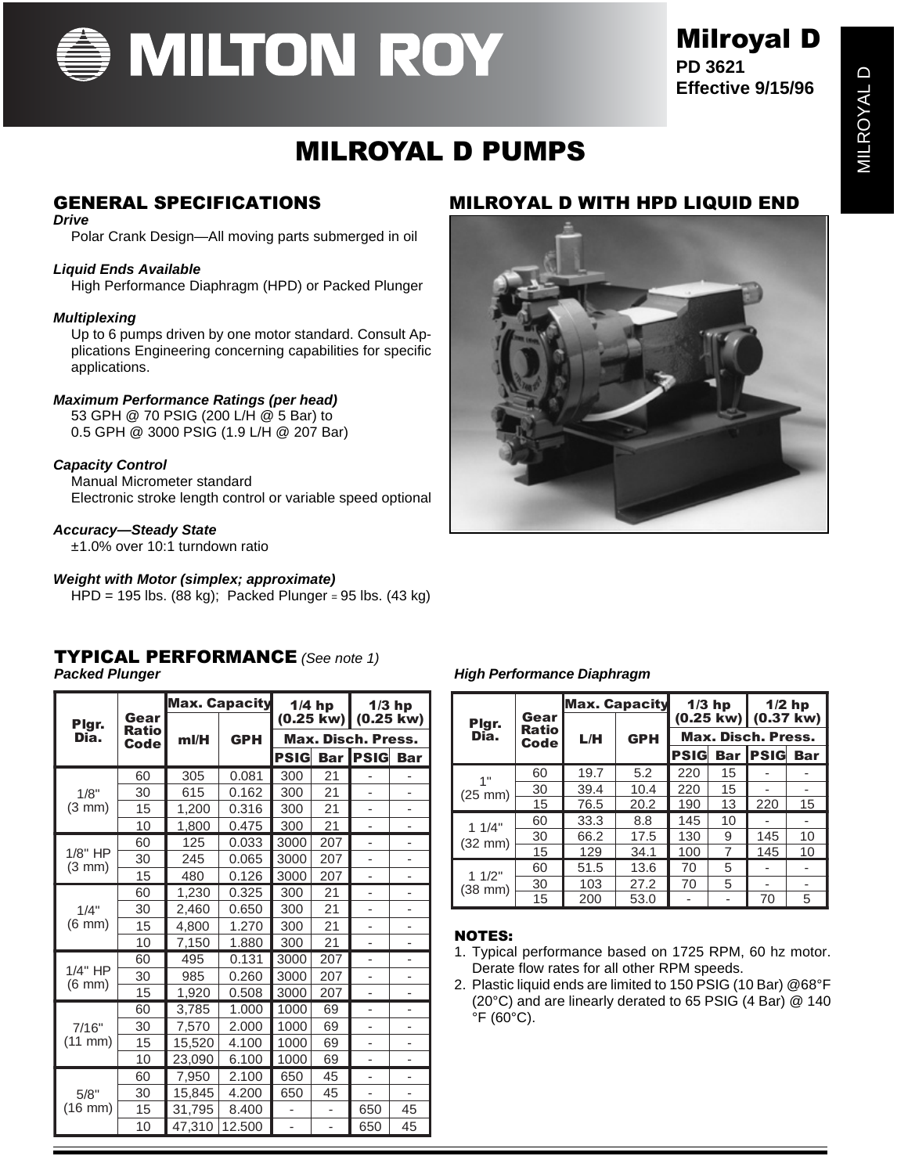

## Milroyal D

**PD 3621 Effective 9/15/96**

## MILROYAL D PUMPS

#### **Drive**

Polar Crank Design—All moving parts submerged in oil

#### **Liquid Ends Available**

High Performance Diaphragm (HPD) or Packed Plunger

#### **Multiplexing**

Up to 6 pumps driven by one motor standard. Consult Applications Engineering concerning capabilities for specific applications.

#### **Maximum Performance Ratings (per head)**

53 GPH @ 70 PSIG (200 L/H @ 5 Bar) to 0.5 GPH @ 3000 PSIG (1.9 L/H @ 207 Bar)

#### **Capacity Control**

Manual Micrometer standard Electronic stroke length control or variable speed optional

#### **Accuracy—Steady State**

±1.0% over 10:1 turndown ratio

#### **Weight with Motor (simplex; approximate)**

HPD = 195 lbs. (88 kg); Packed Plunger = 95 lbs. (43 kg)

#### TYPICAL PERFORMANCE (See note 1)

|                              | Gear                 | <b>Max. Capacity</b> |            | $1/4$ hp                        |            | $1/3$ hp<br>$(0.25 \text{ kw})$ |                          |
|------------------------------|----------------------|----------------------|------------|---------------------------------|------------|---------------------------------|--------------------------|
| Plgr.<br>Dia.                | <b>Ratio</b><br>Code | ml/H                 | <b>GPH</b> | (0.25 kw)<br>Max. Disch. Press. |            |                                 |                          |
|                              |                      |                      |            | <b>PSIG</b>                     | <b>Bar</b> | <b>PSIG</b>                     | <b>Bar</b>               |
|                              | 60                   | 305                  | 0.081      | 300                             | 21         |                                 |                          |
| 1/8"                         | 30                   | 615                  | 0.162      | 300                             | 21         |                                 |                          |
| $(3 \text{ mm})$             | 15                   | 1,200                | 0.316      | 300                             | 21         |                                 |                          |
|                              | 10                   | 1,800                | 0.475      | 300                             | 21         | ä,                              | ä,                       |
|                              | 60                   | 125                  | 0.033      | 3000                            | 207        | ÷                               | ٠                        |
| $1/8"$ HP                    | 30                   | 245                  | 0.065      | 3000                            | 207        |                                 |                          |
| $(3 \text{ mm})$             | 15                   | 480                  | 0.126      | 3000                            | 207        | ä,                              |                          |
| 1/4"<br>$(6 \text{ mm})$     | 60                   | 1,230                | 0.325      | 300                             | 21         | ٠                               | ٠                        |
|                              | 30                   | 2.460                | 0.650      | 300                             | 21         |                                 |                          |
|                              | 15                   | 4,800                | 1.270      | 300                             | 21         |                                 |                          |
|                              | 10                   | 7,150                | 1.880      | 300                             | 21         |                                 |                          |
| 1/4" HP                      | 60                   | 495                  | 0.131      | 3000                            | 207        | ٠                               | $\overline{\phantom{0}}$ |
|                              | 30                   | 985                  | 0.260      | 3000                            | 207        |                                 |                          |
| $(6 \text{ mm})$             | 15                   | 1,920                | 0.508      | 3000                            | 207        | ٠                               |                          |
|                              | 60                   | 3,785                | 1.000      | 1000                            | 69         |                                 |                          |
| 7/16"<br>$(11 \, \text{mm})$ | 30                   | 7,570                | 2.000      | 1000                            | 69         |                                 | -                        |
|                              | 15                   | 15,520               | 4.100      | 1000                            | 69         |                                 |                          |
|                              | 10                   | 23,090               | 6.100      | 1000                            | 69         | ٠                               | -                        |
| 5/8"<br>(16 mm)              | 60                   | 7,950                | 2.100      | 650                             | 45         | $\overline{a}$                  | $\overline{a}$           |
|                              | 30                   | 15,845               | 4.200      | 650                             | 45         | ٠                               |                          |
|                              | 15                   | 31,795               | 8.400      |                                 | L,         | 650                             | 45                       |
|                              | 10                   | 47,310               | 12.500     | ٠                               | -          | 650                             | 45                       |

#### GENERAL SPECIFICATIONS MILROYAL D WITH HPD LIQUID END



#### **Packed Plunger High Performance Diaphragm**

|                            |                       | <b>Max. Capacity</b> |            |                    | $1/3$ hp |                               | $1/2$ hp                 |
|----------------------------|-----------------------|----------------------|------------|--------------------|----------|-------------------------------|--------------------------|
| Plgr.<br>Dia.              | Gear<br>Ratio<br>Code |                      | <b>GPH</b> |                    |          | $(0.25 \text{ kw})$ (0.37 kw) |                          |
|                            |                       | L/H                  |            | Max. Disch. Press. |          |                               |                          |
|                            |                       |                      |            | <b>PSIG</b>        |          | <b>Bar IPSIG</b>              | <b>Bar</b>               |
| 1"<br>$(25 \text{ mm})$    | 60                    | 19.7                 | 5.2        | 220                | 15       |                               |                          |
|                            | 30                    | 39.4                 | 10.4       | 220                | 15       |                               |                          |
|                            | 15                    | 76.5                 | 20.2       | 190                | 13       | 220                           | 15                       |
| 11/4"<br>$(32 \text{ mm})$ | 60                    | 33.3                 | 8.8        | 145                | 10       |                               |                          |
|                            | 30                    | 66.2                 | 17.5       | 130                | 9        | 145                           | 10                       |
|                            | 15                    | 129                  | 34.1       | 100                | 7        | 145                           | 10                       |
| 11/2"<br>$(38$ mm $)$      | 60                    | 51.5                 | 13.6       | 70                 | 5        |                               |                          |
|                            | 30                    | 103                  | 27.2       | 70                 | 5        |                               | $\overline{\phantom{a}}$ |
|                            | 15                    | 200                  | 53.0       |                    |          | 70                            | 5                        |

#### NOTES:

- 1. Typical performance based on 1725 RPM, 60 hz motor. Derate flow rates for all other RPM speeds.
- 2. Plastic liquid ends are limited to 150 PSIG (10 Bar) @68°F (20°C) and are linearly derated to 65 PSIG (4 Bar) @ 140 °F (60°C).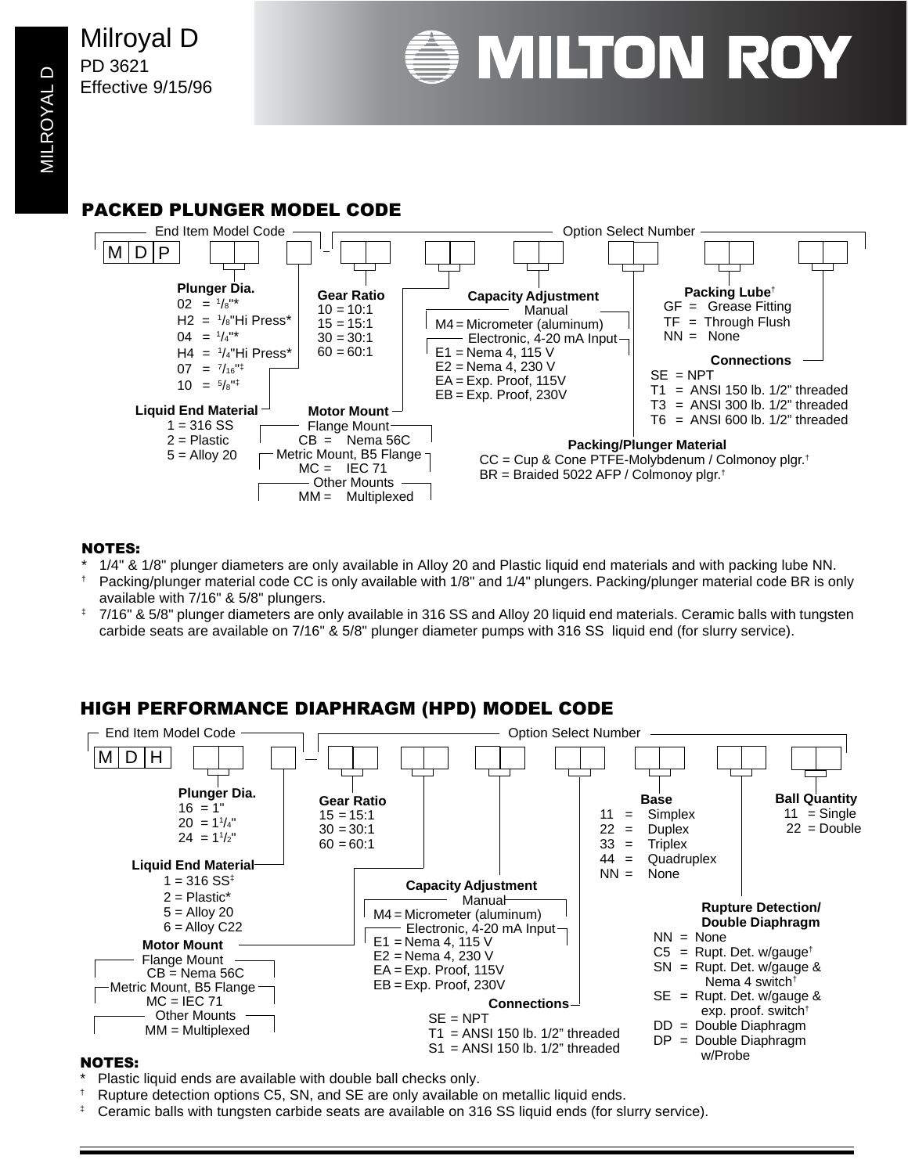Milroyal D PD 3621 Effective 9/15/96



**MILROYAL D** MILROYAL D

#### PACKED PLUNGER MODEL CODE



#### NOTES:

- \* 1/4" & 1/8" plunger diameters are only available in Alloy 20 and Plastic liquid end materials and with packing lube NN.
- † Packing/plunger material code CC is only available with 1/8" and 1/4" plungers. Packing/plunger material code BR is only available with 7/16" & 5/8" plungers.
- ‡ 7/16" & 5/8" plunger diameters are only available in 316 SS and Alloy 20 liquid end materials. Ceramic balls with tungsten carbide seats are available on 7/16" & 5/8" plunger diameter pumps with 316 SS liquid end (for slurry service).

#### HIGH PERFORMANCE DIAPHRAGM (HPD) MODEL CODE



#### NOTES:

- Plastic liquid ends are available with double ball checks only.
- † Rupture detection options C5, SN, and SE are only available on metallic liquid ends.
- Ceramic balls with tungsten carbide seats are available on 316 SS liquid ends (for slurry service).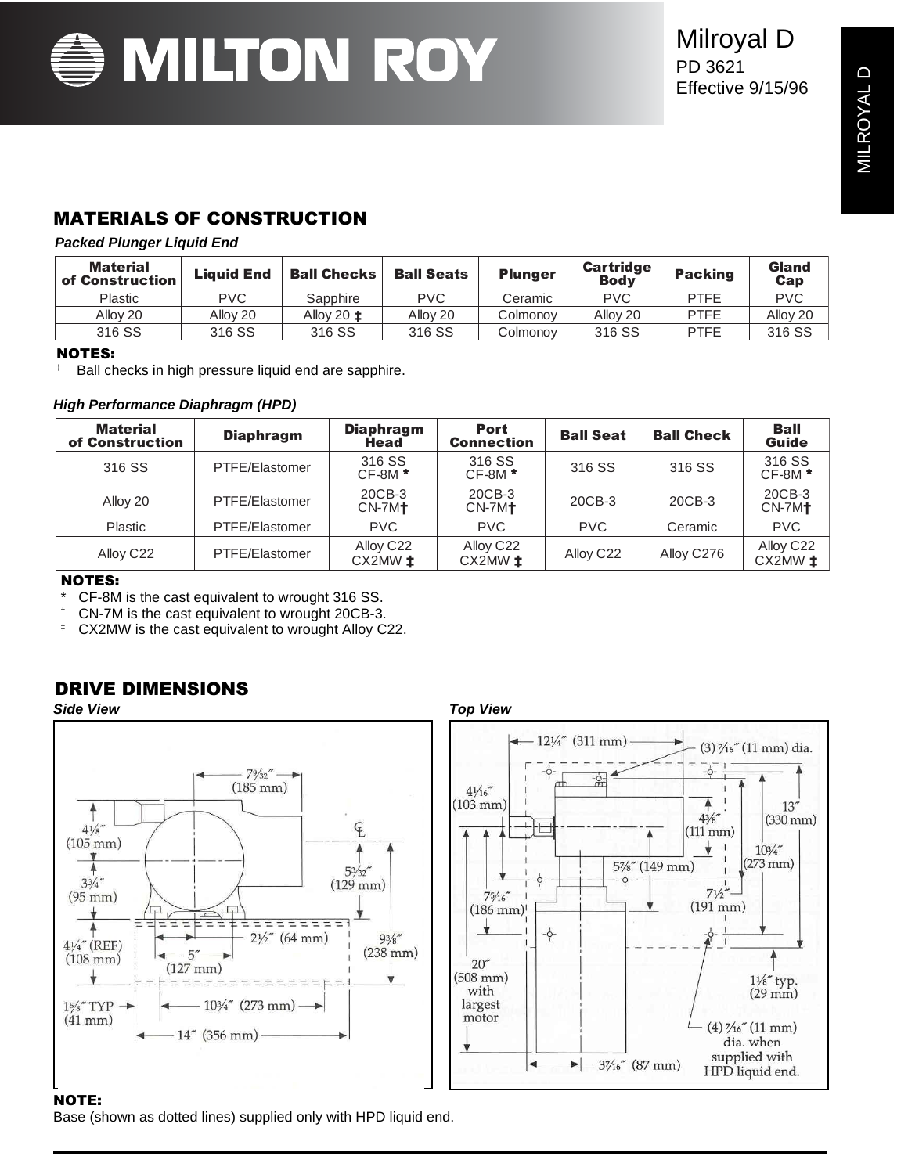

### Milroyal D PD 3621 Effective 9/15/96

#### MATERIALS OF CONSTRUCTION

#### **Packed Plunger Liquid End**

| Material<br>of Construction | <b>Liauid End</b> | <b>Ball Checks</b> | <b>Ball Seats</b> | <b>Plunger</b> | <b>Cartridge</b><br><b>Body</b> | <b>Packing</b> | Gland<br>Cap |
|-----------------------------|-------------------|--------------------|-------------------|----------------|---------------------------------|----------------|--------------|
| <b>Plastic</b>              | PVC.              | Sapphire           | <b>PVC</b>        | Ceramic        | <b>PVC</b>                      | <b>PTFE</b>    | <b>PVC</b>   |
| Allov 20                    | Allov 20          | Allov 20 ±         | Allov 20          | Colmonoy       | Allov <sub>20</sub>             | <b>PTFE</b>    | Alloy 20     |
| 316 SS                      | 316 SS            | 316 SS             | 316 SS            | Colmonov       | 316 SS                          | <b>PTFE</b>    | 316 SS       |

#### NOTES:

‡ Ball checks in high pressure liquid end are sapphire.

#### **High Performance Diaphragm (HPD)**

| <b>Material</b><br>of Construction | <b>Diaphragm</b> | <b>Diaphragm</b><br>Head | <b>Port</b><br><b>Connection</b> | <b>Ball Seat</b>      | <b>Ball Check</b> | <b>Ball</b><br><b>Guide</b> |
|------------------------------------|------------------|--------------------------|----------------------------------|-----------------------|-------------------|-----------------------------|
| 316 SS                             | PTFE/Elastomer   | 316 SS<br>$CF-8M*$       | 316 SS<br>$CF-8M*$               | 316 SS                | 316 SS            | 316 SS<br>$CF-8M*$          |
| Alloy 20                           | PTFE/Elastomer   | 20CB-3<br>$CN-7M+$       | 20CB-3<br>$CN-7M+$               | 20CB-3                | 20CB-3            | 20CB-3<br>$CN-7M1$          |
| Plastic                            | PTFE/Elastomer   | <b>PVC</b>               | <b>PVC</b>                       | <b>PVC</b>            | Ceramic           | <b>PVC</b>                  |
| Alloy C <sub>22</sub>              | PTFE/Elastomer   | Alloy C22<br>$CX2MW$ $t$ | Alloy C22<br>$CX2MW$ $t$         | Alloy C <sub>22</sub> | Alloy C276        | Alloy C22<br>$CX2MW$ $t$    |

#### NOTES:

- CF-8M is the cast equivalent to wrought 316 SS.
- † CN-7M is the cast equivalent to wrought 20CB-3.
- ‡ CX2MW is the cast equivalent to wrought Alloy C22.

#### DRIVE DIMENSIONS



#### Base (shown as dotted lines) supplied only with HPD liquid end.

**Side View Top View**